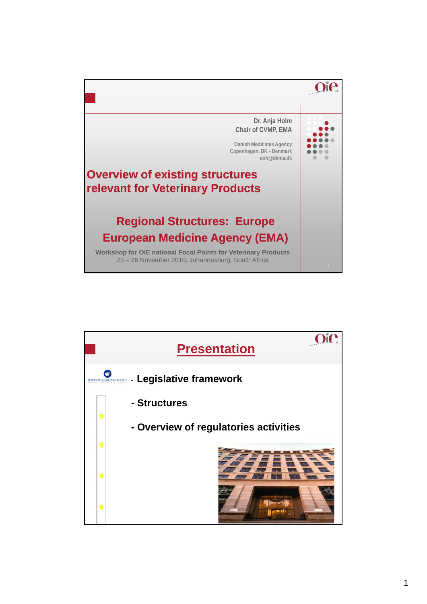

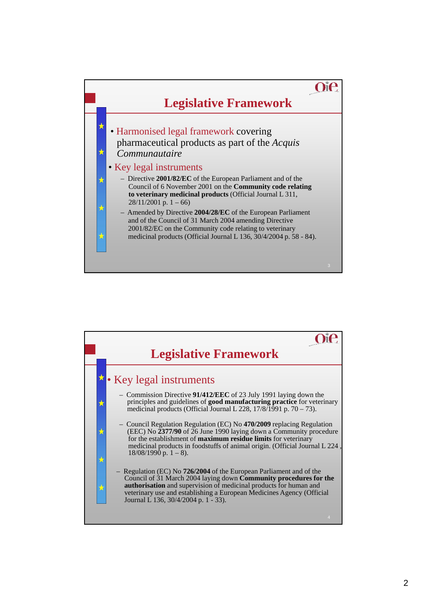

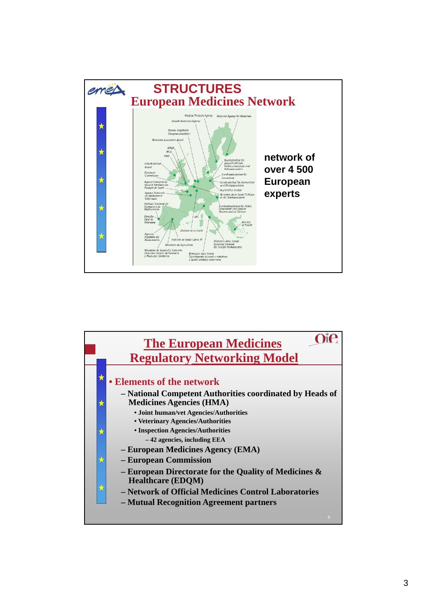

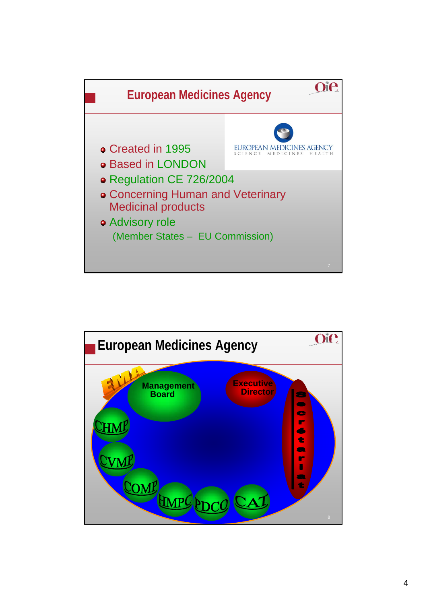

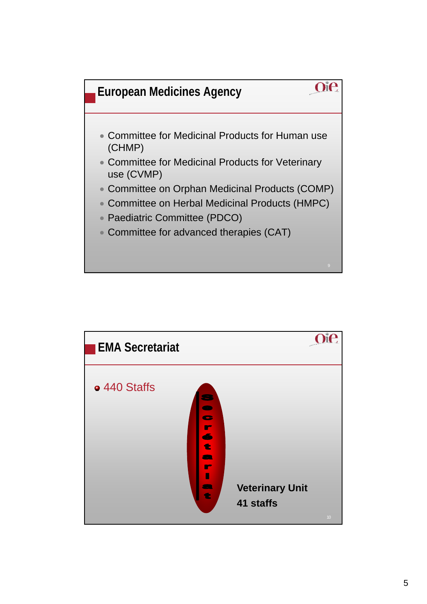

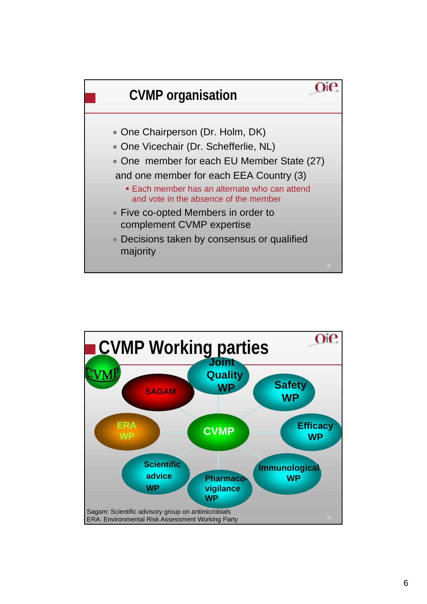

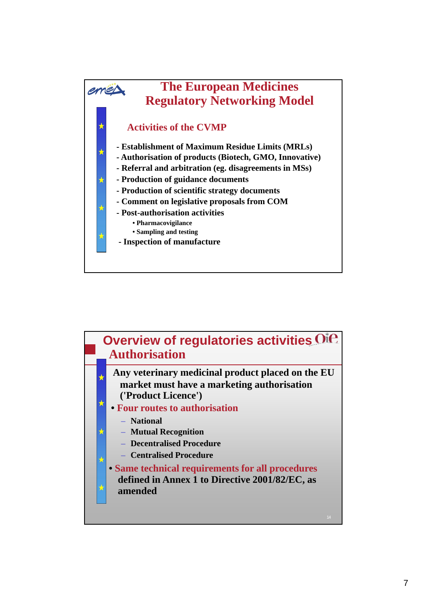

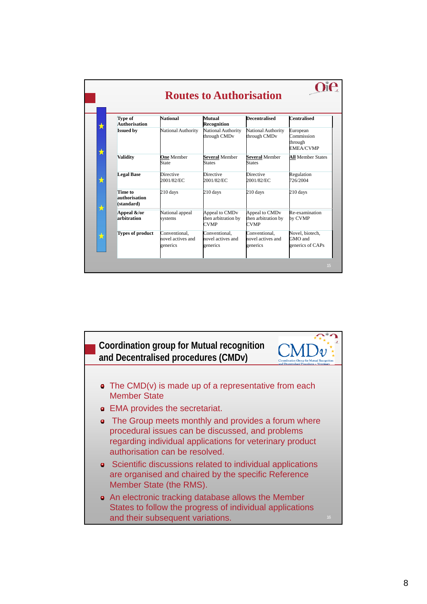|  | Type of<br><b>Authorisation</b>        | <b>National</b>                                | Mutual<br><b>Recognition</b>                                     | <b>Decentralised</b>                                             | <b>Centralised</b>                                    |
|--|----------------------------------------|------------------------------------------------|------------------------------------------------------------------|------------------------------------------------------------------|-------------------------------------------------------|
|  | <b>Issued by</b>                       | National Authority                             | National Authority<br>through CMD <sub>v</sub>                   | <b>National Authority</b><br>through CMD <sub>v</sub>            | European<br>Commission<br>through<br><b>EMEA/CVMP</b> |
|  | <b>Validity</b>                        | <b>One</b> Member<br>State                     | <b>Several Member</b><br><b>States</b>                           | <b>Several Member</b><br><b>States</b>                           | <b>All Member States</b>                              |
|  | <b>Legal Base</b>                      | <b>Directive</b><br>2001/82/EC                 | <b>Directive</b><br>2001/82/EC                                   | <b>Directive</b><br>2001/82/EC                                   | Regulation<br>726/2004                                |
|  | Time to<br>authorisation<br>(standard) | 210 days                                       | 210 days                                                         | 210 days                                                         | 210 days                                              |
|  | Appeal &/or<br>arbitration             | National appeal<br>systems                     | Appeal to CMD <sub>v</sub><br>then arbitration by<br><b>CVMP</b> | Appeal to CMD <sub>v</sub><br>then arbitration by<br><b>CVMP</b> | Re-examination<br>by CVMP                             |
|  | <b>Types of product</b>                | Conventional,<br>novel actives and<br>generics | Conventional.<br>novel actives and<br>generics                   | Conventional,<br>novel actives and<br>generics                   | Novel, biotech,<br>GMO and<br>generics of CAPs        |

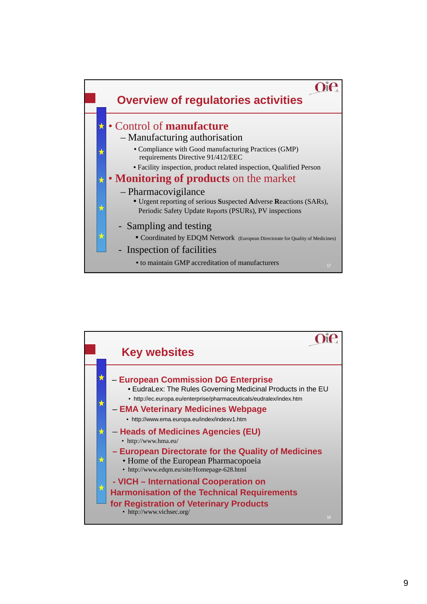